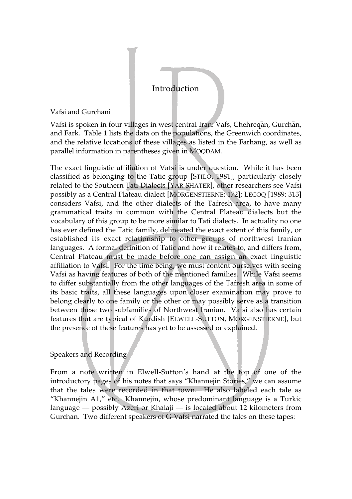Vafsi and Gurchani

Vafsi is spoken in four villages in west central Iran: Vafs, Chehreqan, Gurchan, and Fark. Table 1 lists the data on the populations, the Greenwich coordinates, and the relative locations of these villages as listed in the Farhang, as well as parallel information in parentheses given in MOQDAM.

The exact linguistic affiliation of Vafsi is under question. While it has been classified as belonging to the Tatic group [STILO, 1981], particularly closely related to the Southern Tati Dialects [YAR-SHATER], other researchers see Vafsi possibly as a Central Plateau dialect [MORGENSTIERNE: 172]; LECOQ [1989: 313] considers Vafsi, and the other dialects of the Tafresh area, to have many grammatical traits in common with the Central Plateau dialects but the vocabulary of this group to be more similar to Tati dialects. In actuality no one has ever defined the Tatic family, delineated the exact extent of this family, or established its exact relationship to other groups of northwest Iranian languages. A formal definition of Tatic and how it relates to, and differs from, Central Plateau must be made before one can assign an exact linguistic affiliation to Vafsi. For the time being, we must content ourselves with seeing Vafsi as having features of both of the mentioned families. While Vafsi seems to differ substantially from the other languages of the Tafresh area in some of its basic traits, all these languages upon closer examination may prove to belong clearly to one family or the other or may possibly serve as a transition between these two subfamilies of Northwest Iranian. Vafsi also has certain features that are typical of Kurdish [ELWELL-SUTTON, MORGENSTIERNE], but the presence of these features has yet to be assessed or explained.

# Speakers and Recording

From a note written in Elwell-Sutton's hand at the top of one of the introductory pages of his notes that says "Khannejin Stories," we can assume that the tales were recorded in that town. He also labeled each tale as "Khannejin A1," etc. Khannejin, whose predominant language is a Turkic language — possibly Azeri or Khalaji — is located about 12 kilometers from Gurchan. Two different speakers of G-Vafsi narrated the tales on these tapes: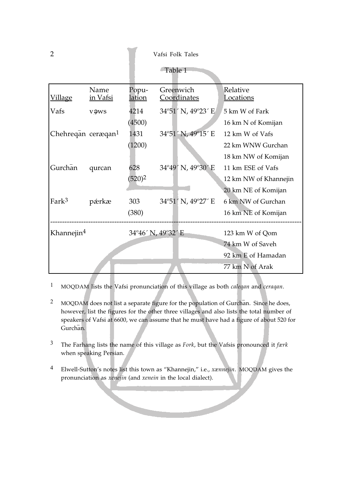2 Vafsi Folk Tales

Table 1

| <u>Village</u>                 | Name<br>in Vafsi | Popu-<br><u>lation</u> | Greenwich<br><b>Coordinates</b> | Relative<br>Locations |
|--------------------------------|------------------|------------------------|---------------------------------|-----------------------|
| Vafs                           | vəws             | 4214                   | 34°51′ N, 49°23′ E              | 5 km W of Fark        |
|                                |                  | (4500)                 |                                 | 16 km N of Komijan    |
| Chehreqan ceræqan <sup>1</sup> |                  | 1431                   | 34°51′ N, 49°15′ E              | 12 km W of Vafs       |
|                                |                  | (1200)                 |                                 | 22 km WNW Gurchan     |
|                                |                  |                        |                                 | 18 km NW of Komijan   |
| Gurchān                        | qurcan           | 628                    | 34°49′ N, 49°30′ E              | 11 km ESE of Vafs     |
|                                |                  | $(520)^2$              |                                 | 12 km NW of Khannejin |
|                                |                  |                        |                                 | 20 km NE of Komijan   |
| Fark <sup>3</sup>              | pærkæ            | 303                    | 34°51' N, 49°27' E              | 6 km NW of Gurchan    |
|                                |                  | (380)                  |                                 | 16 km NE of Komijan   |
| Khannejin <sup>4</sup>         |                  | 34°46' N, 49°32' E     |                                 | 123 km W of Qom       |
|                                |                  |                        |                                 | 74 km W of Saveh      |
|                                |                  |                        |                                 | 92 km E of Hamadan    |
|                                |                  |                        |                                 | 77 km N of Arak       |

1 MOQDAM lists the Vafsi pronunciation of this village as both *caleqan* and *ceraqan*.

- <sup>2</sup> MOQDAM does not list a separate figure for the population of Gurchan. Since he does, however, list the figures for the other three villages and also lists the total number of speakers of Vafsi at 6600, we can assume that he must have had a figure of about 520 for speakers<br>Gurchan.
- 3 The Farhang lists the name of this village as *Fork*, but the Vafsis pronounced it *færk* when speaking Persian.
- 4 Elwell-Sutton's notes list this town as "Khannejin," i.e., *xænnejin*. MOQDAM gives the pronunciation as *xenejin* (and *xenein* in the local dialect).

**Septiment**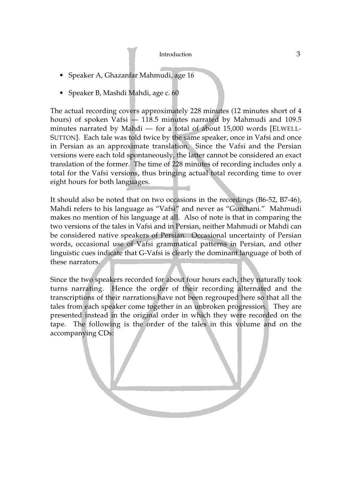- Speaker A, Ghazanfar Mahmudi, age 16
- Speaker B, Mashdi Mahdi, age c. 60

The actual recording covers approximately 228 minutes (12 minutes short of 4 hours) of spoken Vafsi — 118.5 minutes narrated by Mahmudi and 109.5 minutes narrated by Mahdi — for a total of about 15,000 words [ELWELL-SUTTON]. Each tale was told twice by the same speaker, once in Vafsi and once in Persian as an approximate translation. Since the Vafsi and the Persian versions were each told spontaneously, the latter cannot be considered an exact translation of the former. The time of 228 minutes of recording includes only a total for the Vafsi versions, thus bringing actual total recording time to over eight hours for both languages.

It should also be noted that on two occasions in the recordings (B6-52, B7-46), Mahdi refers to his language as "Vafsi" and never as "Gurchani." Mahmudi makes no mention of his language at all. Also of note is that in comparing the two versions of the tales in Vafsi and in Persian, neither Mahmudi or Mahdi can be considered native speakers of Persian. Occasional uncertainty of Persian words, occasional use of Vafsi grammatical patterns in Persian, and other linguistic cues indicate that G-Vafsi is clearly the dominant language of both of these narrators.

Since the two speakers recorded for about four hours each, they naturally took turns narrating. Hence the order of their recording alternated and the transcriptions of their narrations have not been regrouped here so that all the tales from each speaker come together in an unbroken progression. They are presented instead in the original order in which they were recorded on the tape. The following is the order of the tales in this volume and on the accompanying CDs: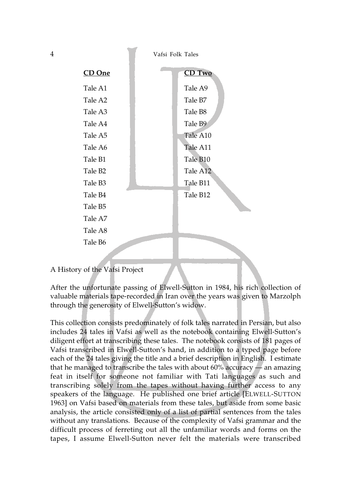4 Vafsi Folk Tales



### A History of the Vafsi Project

After the unfortunate passing of Elwell-Sutton in 1984, his rich collection of valuable materials tape-recorded in Iran over the years was given to Marzolph through the generosity of Elwell-Sutton's widow.

This collection consists predominately of folk tales narrated in Persian, but also includes 24 tales in Vafsi as well as the notebook containing Elwell-Sutton's diligent effort at transcribing these tales. The notebook consists of 181 pages of Vafsi transcribed in Elwell-Sutton's hand, in addition to a typed page before each of the 24 tales giving the title and a brief description in English. I estimate that he managed to transcribe the tales with about  $60\%$  accuracy — an amazing feat in itself for someone not familiar with Tati languages as such and transcribing solely from the tapes without having further access to any speakers of the language. He published one brief article [ELWELL-SUTTON 1963] on Vafsi based on materials from these tales, but aside from some basic analysis, the article consisted only of a list of partial sentences from the tales without any translations. Because of the complexity of Vafsi grammar and the difficult process of ferreting out all the unfamiliar words and forms on the tapes, I assume Elwell-Sutton never felt the materials were transcribed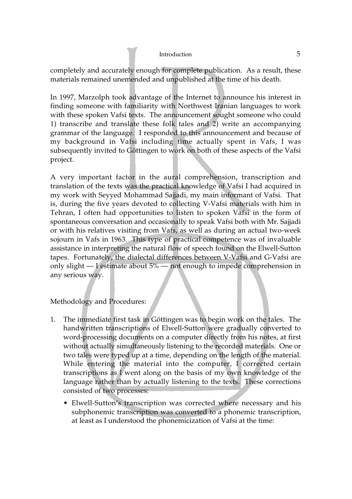completely and accurately enough for complete publication. As a result, these materials remained unemended and unpublished at the time of his death.

In 1997, Marzolph took advantage of the Internet to announce his interest in finding someone with familiarity with Northwest Iranian languages to work with these spoken Vafsi texts. The announcement sought someone who could 1) transcribe and translate these folk tales and 2) write an accompanying grammar of the language. I responded to this announcement and because of my background in Vafsi including time actually spent in Vafs, I was subsequently invited to Göttingen to work on both of these aspects of the Vafsi project.

A very important factor in the aural comprehension, transcription and translation of the texts was the practical knowledge of Vafsi I had acquired in my work with Seyyed Mohammad Sajjadi, my main informant of Vafsi. That is, during the five years devoted to collecting V-Vafsi materials with him in Tehran, I often had opportunities to listen to spoken Vafsi in the form of spontaneous conversation and occasionally to speak Vafsi both with Mr. Sajjadi or with his relatives visiting from Vafs, as well as during an actual two-week sojourn in Vafs in 1963. This type of practical competence was of invaluable assistance in interpreting the natural flow of speech found on the Elwell-Sutton tapes. Fortunately, the dialectal differences between V-Vafsi and G-Vafsi are only slight — I estimate about 5% — not enough to impede comprehension in any serious way.

# Methodology and Procedures:

- 1. The immediate first task in Göttingen was to begin work on the tales. The handwritten transcriptions of Elwell-Sutton were gradually converted to word-processing documents on a computer directly from his notes, at first without actually simultaneously listening to the recorded materials. One or two tales were typed up at a time, depending on the length of the material. While entering the material into the computer, I corrected certain transcriptions as I went along on the basis of my own knowledge of the language rather than by actually listening to the texts. These corrections consisted of two processes:
	- Elwell-Sutton's transcription was corrected where necessary and his subphonemic transcription was converted to a phonemic transcription, at least as I understood the phonemicization of Vafsi at the time: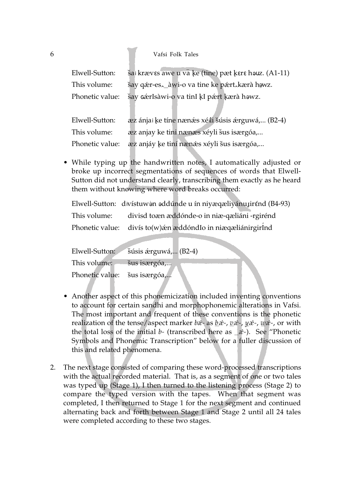#### 6 Vafsi Folk Tales

| Elwell-Sutton:  | šai kræves awe u va ke (tine) pæt kere houz. (A1-11) |
|-----------------|------------------------------------------------------|
| This volume:    | šay qær-es, awi-o va tine ke pært, kærà hawz.        |
| Phonetic value: | šay cérIsàwi-o va tinI kI pért kærà howz.            |
| Elwell-Sutton:  | æz ánjai ke tíne nænæs xélli šúsis ærguwá, (B2-4)    |

This volume: æz anjay ke tini nænæs xéyli šus isærgóa,...

Phonetic value: ∑æz anjáy ke tiní nænǽs xéyli šus isærgóa,...<br>

• While typing up the handwritten notes, I automatically adjusted or broke up incorrect segmentations of sequences of words that Elwell-Sutton did not understand clearly, transcribing them exactly as he heard them without knowing where word breaks occurred:

Elwell-Sutton:) divístuwén eddúnde u ín niyæqæliyánujirénd (B4-93)

| This volume: | divisd toæn æddónde-o in niæ-qæliáni -rgirénd                  |
|--------------|----------------------------------------------------------------|
|              | Phonetic value: divís to(w) én æddónd Io in niægæliánirgir Ind |

| Elwell-Sutton:                            | šúsis árguwá, (B2-4) |
|-------------------------------------------|----------------------|
| This volume: <i>illus</i> is is exposited |                      |
| Phonetic value: šus isærgóa,              |                      |

- Another aspect of this phonemicization included inventing conventions to account for certain sandhi and morphophonemic alterations in Vafsi. The most important and frequent of these conventions is the phonetic realization of the tense/aspect marker *bæ*́- as <u>b</u>ǽ-, <u>v</u>æ̃-, yæ̃-, wæ̃-, or with the total loss of the initial *b-* (transcribed here as *—æ*<sup>⁄</sup> *-*). See "Phonetic Symbols and Phonemic Transcription" below for a fuller discussion of this and related phenomena.
- 2. The next stage consisted of comparing these word-processed transcriptions with the actual recorded material. That is, as a segment of one or two tales was typed up (Stage 1), I then turned to the listening process (Stage 2) to compare the typed version with the tapes. When that segment was completed, I then returned to Stage 1 for the next segment and continued alternating back and forth between Stage 1 and Stage 2 until all 24 tales were completed according to these two stages.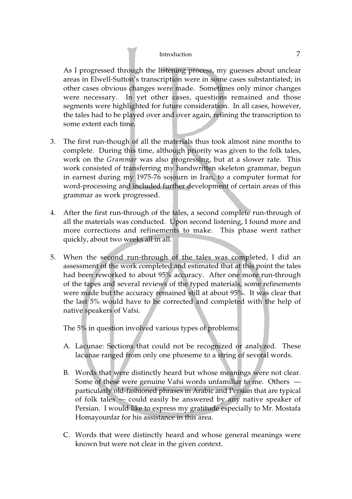As I progressed through the listening process, my guesses about unclear areas in Elwell-Sutton's transcription were in some cases substantiated; in other cases obvious changes were made. Sometimes only minor changes were necessary. In yet other cases, questions remained and those segments were highlighted for future consideration. In all cases, however, the tales had to be played over and over again, refining the transcription to some extent each time.

- 3. The first run-though of all the materials thus took almost nine months to complete. During this time, although priority was given to the folk tales, work on the *Grammar* was also progressing, but at a slower rate. This work consisted of transferring my handwritten skeleton grammar, begun in earnest during my 1975-76 sojourn in Iran, to a computer format for word-processing and included further development of certain areas of this grammar as work progressed.
- 4. After the first run-through of the tales, a second complete run-through of all the materials was conducted. Upon second listening, I found more and more corrections and refinements to make. This phase went rather quickly, about two weeks all in all.
- 5. When the second run-through of the tales was completed, I did an assessment of the work completed and estimated that at this point the tales had been reworked to about 95% accuracy. After one more run-through of the tapes and several reviews of the typed materials, some refinements were made but the accuracy remained still at about 95%. It was clear that the last 5% would have to be corrected and completed with the help of native speakers of Vafsi.

The 5% in question involved various types of problems:

- A. Lacunae: Sections that could not be recognized or analyzed. These lacunae ranged from only one phoneme to a string of several words.
- B. Words that were distinctly heard but whose meanings were not clear. Some of these were genuine Vafsi words unfamiliar to me. Others particularly old-fashioned phrases in Arabic and Persian that are typical of folk tales — could easily be answered by any native speaker of Persian. I would like to express my gratitude especially to Mr. Mostafa Homayounfar for his assistance in this area.
- C. Words that were distinctly heard and whose general meanings were known but were not clear in the given context.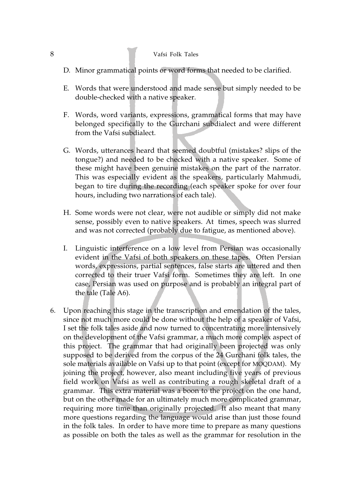### 8 Vafsi Folk Tales

- D. Minor grammatical points or word forms that needed to be clarified.
- E. Words that were understood and made sense but simply needed to be double-checked with a native speaker.
- F. Words, word variants, expressions, grammatical forms that may have belonged specifically to the Gurchani subdialect and were different from the Vafsi subdialect.
- G. Words, utterances heard that seemed doubtful (mistakes? slips of the tongue?) and needed to be checked with a native speaker. Some of these might have been genuine mistakes on the part of the narrator. This was especially evident as the speakers, particularly Mahmudi, began to tire during the recording (each speaker spoke for over four hours, including two narrations of each tale).
- H. Some words were not clear, were not audible or simply did not make sense, possibly even to native speakers. At times, speech was slurred and was not corrected (probably due to fatigue, as mentioned above).
- I. Linguistic interference on a low level from Persian was occasionally evident in the Vafsi of both speakers on these tapes. Often Persian words, expressions, partial sentences, false starts are uttered and then corrected to their truer Vafsi form. Sometimes they are left. In one case, Persian was used on purpose and is probably an integral part of the tale (Tale A6).
- 6. Upon reaching this stage in the transcription and emendation of the tales, since not much more could be done without the help of a speaker of Vafsi, I set the folk tales aside and now turned to concentrating more intensively on the development of the Vafsi grammar, a much more complex aspect of this project. The grammar that had originally been projected was only supposed to be derived from the corpus of the 24 Gurchani folk tales, the sole materials available on Vafsi up to that point (except for MOQDAM). My joining the project, however, also meant including five years of previous field work on Vafsi as well as contributing a rough skeletal draft of a grammar. This extra material was a boon to the project on the one hand, but on the other made for an ultimately much more complicated grammar, requiring more time than originally projected. It also meant that many more questions regarding the language would arise than just those found in the folk tales. In order to have more time to prepare as many questions as possible on both the tales as well as the grammar for resolution in the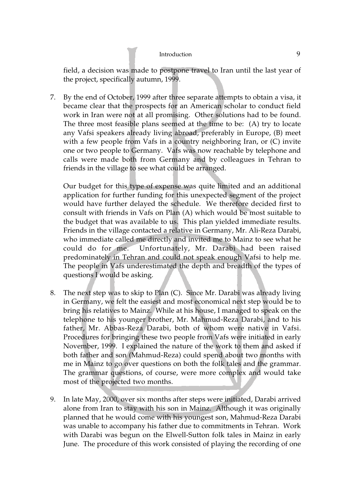field, a decision was made to postpone travel to Iran until the last year of the project, specifically autumn, 1999.

7. By the end of October, 1999 after three separate attempts to obtain a visa, it became clear that the prospects for an American scholar to conduct field work in Iran were not at all promising. Other solutions had to be found. The three most feasible plans seemed at the time to be: (A) try to locate any Vafsi speakers already living abroad, preferably in Europe, (B) meet with a few people from Vafs in a country neighboring Iran, or (C) invite one or two people to Germany. Vafs was now reachable by telephone and calls were made both from Germany and by colleagues in Tehran to friends in the village to see what could be arranged.

Our budget for this type of expense was quite limited and an additional application for further funding for this unexpected segment of the project would have further delayed the schedule. We therefore decided first to consult with friends in Vafs on Plan (A) which would be most suitable to the budget that was available to us. This plan yielded immediate results. Friends in the village contacted a relative in Germany, Mr. Ali-Reza Darabi, who immediate called me directly and invited me to Mainz to see what he could do for me. Unfortunately, Mr. Darabi had been raised predominately in Tehran and could not speak enough Vafsi to help me. The people in Vafs underestimated the depth and breadth of the types of questions I would be asking.

- 8. The next step was to skip to Plan (C). Since Mr. Darabi was already living in Germany, we felt the easiest and most economical next step would be to bring his relatives to Mainz. While at his house, I managed to speak on the telephone to his younger brother, Mr. Mahmud-Reza Darabi, and to his father, Mr. Abbas-Reza Darabi, both of whom were native in Vafsi. Procedures for bringing these two people from Vafs were initiated in early November, 1999. I explained the nature of the work to them and asked if both father and son (Mahmud-Reza) could spend about two months with me in Mainz to go over questions on both the folk tales and the grammar. The grammar questions, of course, were more complex and would take most of the projected two months.
- 9. In late May, 2000, over six months after steps were initiated, Darabi arrived alone from Iran to stay with his son in Mainz. Although it was originally planned that he would come with his youngest son, Mahmud-Reza Darabi was unable to accompany his father due to commitments in Tehran. Work with Darabi was begun on the Elwell-Sutton folk tales in Mainz in early June. The procedure of this work consisted of playing the recording of one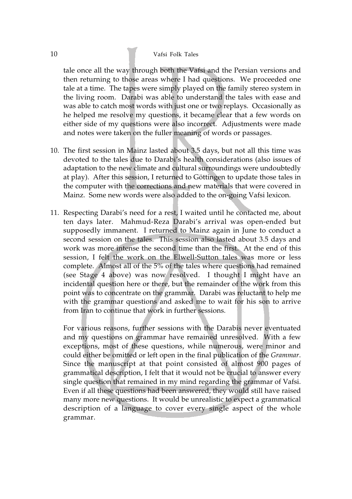### 10 Vafsi Folk Tales

tale once all the way through both the Vafsi and the Persian versions and then returning to those areas where I had questions. We proceeded one tale at a time. The tapes were simply played on the family stereo system in the living room. Darabi was able to understand the tales with ease and was able to catch most words with just one or two replays. Occasionally as he helped me resolve my questions, it became clear that a few words on either side of my questions were also incorrect. Adjustments were made and notes were taken on the fuller meaning of words or passages.

- 10. The first session in Mainz lasted about 3.5 days, but not all this time was devoted to the tales due to Darabi's health considerations (also issues of adaptation to the new climate and cultural surroundings were undoubtedly at play). After this session, I returned to Göttingen to update those tales in the computer with the corrections and new materials that were covered in Mainz. Some new words were also added to the on-going Vafsi lexicon.
- 11. Respecting Darabi's need for a rest, I waited until he contacted me, about ten days later. Mahmud-Reza Darabi's arrival was open-ended but supposedly immanent. I returned to Mainz again in June to conduct a second session on the tales. This session also lasted about 3.5 days and work was more intense the second time than the first. At the end of this session, I felt the work on the Elwell-Sutton tales was more or less complete. Almost all of the 5% of the tales where questions had remained (see Stage 4 above) was now resolved. I thought I might have an incidental question here or there, but the remainder of the work from this point was to concentrate on the grammar. Darabi was reluctant to help me with the grammar questions and asked me to wait for his son to arrive from Iran to continue that work in further sessions.

For various reasons, further sessions with the Darabis never eventuated and my questions on grammar have remained unresolved. With a few exceptions, most of these questions, while numerous, were minor and could either be omitted or left open in the final publication of the *Grammar*. Since the manuscript at that point consisted of almost 900 pages of grammatical description, I felt that it would not be crucial to answer every single question that remained in my mind regarding the grammar of Vafsi. Even if all these questions had been answered, they would still have raised many more new questions. It would be unrealistic to expect a grammatical description of a language to cover every single aspect of the whole grammar.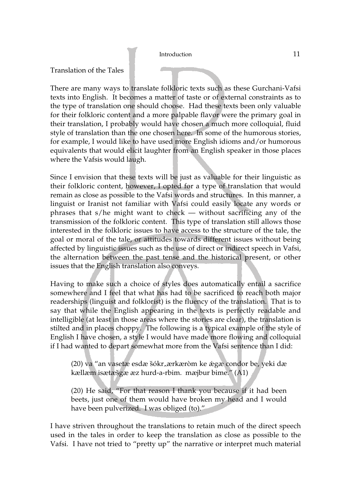# Translation of the Tales

There are many ways to translate folkloric texts such as these Gurchani-Vafsi texts into English. It becomes a matter of taste or of external constraints as to the type of translation one should choose. Had these texts been only valuable for their folkloric content and a more palpable flavor were the primary goal in their translation, I probably would have chosen a much more colloquial, fluid style of translation than the one chosen here. In some of the humorous stories, for example, I would like to have used more English idioms and/or humorous equivalents that would elicit laughter from an English speaker in those places where the Vafsis would laugh.

Since I envision that these texts will be just as valuable for their linguistic as their folkloric content, however, I opted for a type of translation that would remain as close as possible to the Vafsi words and structures. In this manner, a linguist or Iranist not familiar with Vafsi could easily locate any words or phrases that s/he might want to check — without sacrificing any of the transmission of the folkloric content. This type of translation still allows those interested in the folkloric issues to have access to the structure of the tale, the goal or moral of the tale, or attitudes towards different issues without being affected by linguistic issues such as the use of direct or indirect speech in Vafsi, the alternation between the past tense and the historical present, or other issues that the English translation also conveys.

Having to make such a choice of styles does automatically entail a sacrifice somewhere and I feel that what has had to be sacrificed to reach both major readerships (linguist and folklorist) is the fluency of the translation. That is to say that while the English appearing in the texts is perfectly readable and intelligible (at least in those areas where the stories are clear), the translation is stilted and in places choppy. The following is a typical example of the style of English I have chosen, a style I would have made more flowing and colloquial if I had wanted to depart somewhat more from the Vafsi sentence than I did:

(20) va "an vasetæ esdæ šókr.ærkæròm ke ǽgæ condor be, yeki dæ<br>kællæm isætæðgæ æz hurd-a-rhim - mæibur bime " (A1) kællæm isætæšgæ æz hurd-a-rbim. mæjbur bime." (A1)

(20) He said, "For that reason I thank you because if it had been beets, just one of them would have broken my head and I would have been pulverized. I was obliged (to)."

I have striven throughout the translations to retain much of the direct speech used in the tales in order to keep the translation as close as possible to the Vafsi. I have not tried to "pretty up" the narrative or interpret much material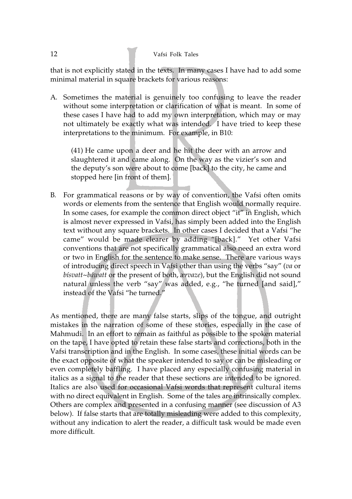that is not explicitly stated in the texts. In many cases I have had to add some minimal material in square brackets for various reasons:

A. Sometimes the material is genuinely too confusing to leave the reader without some interpretation or clarification of what is meant. In some of these cases I have had to add my own interpretation, which may or may not ultimately be exactly what was intended. I have tried to keep these interpretations to the minimum. For example, in B10:

(41) He came upon a deer and he hit the deer with an arrow and slaughtered it and came along. On the way as the vizier's son and the deputy's son were about to come [back] to the city, he came and stopped here [in front of them].

B. For grammatical reasons or by way of convention, the Vafsi often omits words or elements from the sentence that English would normally require. In some cases, for example the common direct object "it" in English, which is almost never expressed in Vafsi, has simply been added into the English text without any square brackets. In other cases I decided that a Vafsi "he came" would be made clearer by adding "[back]." Yet other Vafsi conventions that are not specifically grammatical also need an extra word or two in English for the sentence to make sense. There are various ways of introducing direct speech in Vafsi other than using the verbs "say" (*va* or *bísvatt~báwatt* or the present of both, *ærvaze*), but the English did not sound natural unless the verb "say" was added, e.g., "he turned [and said]," instead of the Vafsi "he turned."

As mentioned, there are many false starts, slips of the tongue, and outright mistakes in the narration of some of these stories, especially in the case of Mahmudi. In an effort to remain as faithful as possible to the spoken material on the tape, I have opted to retain these false starts and corrections, both in the Vafsi transcription and in the English. In some cases, these initial words can be the exact opposite of what the speaker intended to say or can be misleading or even completely baffling. I have placed any especially confusing material in italics as a signal to the reader that these sections are intended to be ignored. Italics are also used for occasional Vafsi words that represent cultural items with no direct equivalent in English. Some of the tales are intrinsically complex. Others are complex and presented in a confusing manner (see discussion of A3 below). If false starts that are totally misleading were added to this complexity, without any indication to alert the reader, a difficult task would be made even more difficult.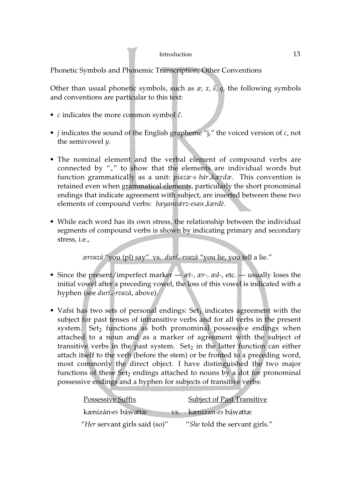Phonetic Symbols and Phonemic Transcription; Other Conventions

Other than usual phonetic symbols, such as *æ, x, š, q*, the following symbols and conventions are particular to this text:

- $c$  indicates the more common symbol  $\check{c}$ .
- *j* indicates the sound of the English grapheme "j," the voiced version of *c*, not the semivowel *y*.
- The nominal element and the verbal element of compound verbs are connected by " $\lambda$ " to show that the elements are individual words but<br>function grammatically as a unit: nigzzes hár karda. This convention is function grammatically as a unit: *piazæ-s bárˆ kærdæ*. This convention is retained even when grammatical elements, particularly the short pronominal endings that indicate agreement with subject, are inserted between these two elements of compound verbs: *bæyanvæ*<sup>⁄</sup> *rz-esanˆ kærdè*.
- While each word has its own stress, the relationship between the individual segments of compound verbs is shown by indicating primary and secondary stress, i.e.,

*ærvazá* "you (pl) say" vs. *duríˆ -rvazà* "you lie, you tell a lie."

- Since the present/imperfect marker *æt-, ær-, æd-*, etc. usually loses the initial vowel after a preceding vowel, the loss of this vowel is indicated with a hyphen (see *duríˆ -rvazà*, above).
- Vafsi has two sets of personal endings: Set<sub>1</sub> indicates agreement with the subject for past tenses of intransitive verbs and for all verbs in the present system. Set<sub>2</sub> functions as both pronominal possessive endings when attached to a noun and as a marker of agreement with the subject of transitive verbs in the past system. Set<sub>2</sub> in the latter function can either attach itself to the verb (before the stem) or be fronted to a preceding word, most commonly the direct object. I have distinguished the two major functions of these  $Set_2$  endings attached to nouns by a dot for pronominal possessive endings and a hyphen for subjects of transitive verbs:

| <b>Possessive Suffix</b>      | <b>Subject of Past Transitive</b> |
|-------------------------------|-----------------------------------|
| kænizán es báwattæ            | vs. kænizan-es báwattæ            |
| "Her servant girls said (so)" | "She told the servant girls."     |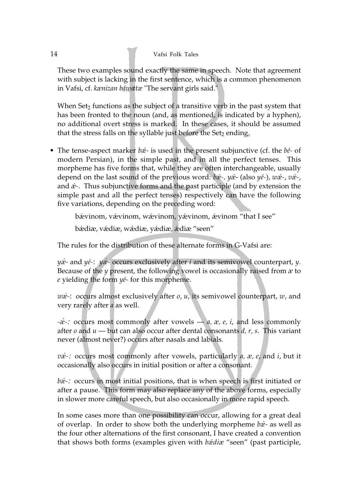These two examples sound exactly the same in speech. Note that agreement with subject is lacking in the first sentence, which is a common phenomenon in Vafsi, cf. *kænizan báwattæ* "The servant girls said."

When Set<sub>2</sub> functions as the subject of a transitive verb in the past system that has been fronted to the noun (and, as mentioned, is indicated by a hyphen), no additional overt stress is marked. In these cases, it should be assumed that the stress falls on the syllable just before the Set<sub>2</sub> ending.

• The tense-aspect marker *bæ*<sup>⁄</sup> *-* is used in the present subjunctive (cf. the *bé-* of modern Persian), in the simple past, and in all the perfect tenses. This morpheme has five forms that, while they are often interchangeable, usually depend on the last sound of the previous word: *bæ*<sup>⁄</sup> *-, yæ*<sup>⁄</sup> - (also *yé-*), *wæ*<sup>⁄</sup> *-*, *væ*<sup>⁄</sup> *-*, and *æ*<sup>⁄</sup> *-*. Thus subjunctive forms and the past participle (and by extension the simple past and all the perfect tenses) respectively can have the following five variations, depending on the preceding word:

bǽvinom, vǽvinom, wǽvinom, yǽvinom, ǽvinom "that I see"

bæ⁄ diæ, væ⁄ diæ, wæ⁄ diæ, yæ⁄ diæ, æ⁄ diæ "seen"

The rules for the distribution of these alternate forms in G-Vafsi are:

*yæ*<sup>⁄</sup> *-* and *yé-*: *yæ*<sup>⁄</sup> *-* occurs exclusively after *i* and its semivowel counterpart, *y*. Because of the *y* present, the following vowel is occasionally raised from *æ* to *e* yielding the form *yé-* for this morpheme.

*wæ*<sup>⁄</sup> *-*: occurs almost exclusively after *o*, *u*, its semivowel counterpart, *w*, and very rarely after *a* as well.

*-æ*⁄ *-:* occurs most commonly after vowels — *a, æ, e, i*, and less commonly after *o* and *u* — but can also occur after dental consonants *d, r, s*. This variant never (almost never?) occurs after nasals and labials.

*væ*<sup>⁄</sup> *-:* occurs most commonly after vowels, particularly *a, æ, e*, and *i*, but it occasionally also occurs in initial position or after a consonant.

*bæ*<sup>2</sup> occurs in most initial positions, that is when speech is first initiated or after a pause. This form may also replace any of the above forms, especially in slower more careful speech, but also occasionally in more rapid speech.

In some cases more than one possibility can occur, allowing for a great deal of overlap. In order to show both the underlying morpheme *bæ*<sup>⁄</sup> *-* as well as the four other alternations of the first consonant, I have created a convention that shows both forms (examples given with *bæ*<sup>⁄</sup> *diæ* "seen" (past participle,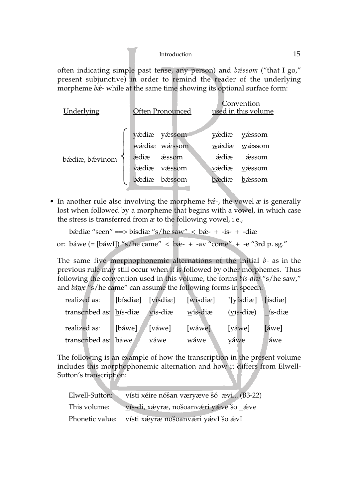often indicating simple past tense, any person) and *bæ*<sup>⁄</sup> *ssom* ("that I go," present subjunctive) in order to remind the reader of the underlying morpheme *bæ*<sup>⁄</sup> *-* while at the same time showing its optional surface form:

| Underlying     |              | Often Pronounced |       | Convention<br>used in this volume |
|----------------|--------------|------------------|-------|-----------------------------------|
|                |              | yádiæ yássom     |       | yédiæ yéssom                      |
|                |              | wádia wássom     |       | wádia wássom                      |
| bædiæ, bævinom | áediæ áessom |                  |       | áediæ _áessom                     |
|                | vádiæ        | væssom           | vædiæ | vǽssom                            |
|                | bædiæ        | bæssom           | bædiæ | bæssom                            |

• In another rule also involving the morpheme *bæ*<sup>⁄</sup> *-*, the vowel *æ* is generally lost when followed by a morpheme that begins with a vowel, in which case the stress is transferred from *æ* to the following vowel, i.e.,

bǽdiæ "seen" ==> bísdiæ "s/he saw" < bǽ- + -is- + -diæ

or: báwe (= [báwl]) "s/he came" 
$$
\langle
$$
 bæ- + -av "come" + -e "3rd p. sg."

The same five morphophonemic alternations of the initial *b-* as in the previous rule may still occur when it is followed by other morphemes. Thus following the convention used in this volume, the forms *bís-diæ* "s/he saw," and *báwe* "s/he came" can assume the following forms in speech:

| realized as:            | [bísdiæ] [vísdiæ] |             | [wísdiæ]   | <sup>?</sup> [yísdiæ] | $[$ isdiæ $]$ |
|-------------------------|-------------------|-------------|------------|-----------------------|---------------|
| transcribed as: bis-diæ |                   | vís-diæ     | $W$ ís-diæ | $(y$ is-diæ)          | ís-diæ        |
| realized as:            | [báwe]            | [váwe]      | [wáwe]     | [yáwe]                | [áwe]         |
| transcribed as: báwe    |                   | <u>váwe</u> | wáwe       | yáwe                  | áwe           |

The following is an example of how the transcription in the present volume includes this morphophonemic alternation and how it differs from Elwell-Sutton's transcription:

| Elwell-Sutton: | vísti xéire nóšan væryæve šó _ævi (B3-22)           |
|----------------|-----------------------------------------------------|
| This volume:   | vís-di, xæyræ, nošoanværi yæve šo _æve              |
|                | Phonetic value: vísti xá vrænošoanvá ri yávl šo ávl |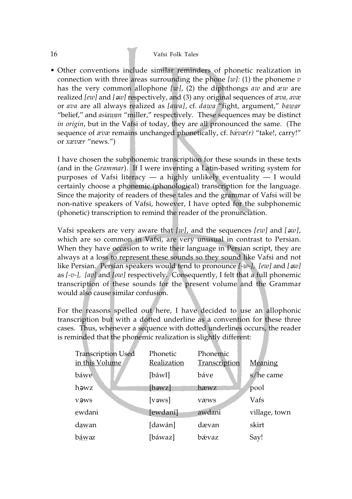### 16 Vafsi Folk Tales

• Other conventions include similar reminders of phonetic realization in connection with three areas surrounding the phone *[w]:* (1) the phoneme *v* has the very common allophone *[w]*, (2) the diphthongs *aw* and *æw* are realized [ew] and [ $\infty$ ] respectively, and (3) any original sequences of *æva*, avæ or *ava* are all always realized as *[awa]*, cf. *dawa* "fight, argument," *bawar* "belief," and *asiawan* "miller," respectively. These sequences may be distinct *in origin*, but in the Vafsi of today, they are all pronounced the same. (The sequence of *ævæ* remains unchanged phonetically, cf. *bæ*<sup>⁄</sup> *væ(r)* "take!, carry!" or *xævær* "news.")

I have chosen the subphonemic transcription for these sounds in these texts (and in the *Grammar*). If I were inventing a Latin-based writing system for purposes of Vafsi literacy  $-$  a highly unlikely eventuality  $-$  I would certainly choose a phonemic (phonological) transcription for the language. Since the majority of readers of these tales and the grammar of Vafsi will be non-native speakers of Vafsi, however, I have opted for the subphonemic (phonetic) transcription to remind the reader of the pronunciation.

Vafsi speakers are very aware that *[w]*, and the sequences *[ew]* and *[*´*w]*, which are so common in Vafsi, are very unusual in contrast to Persian. When they have occasion to write their language in Persian script, they are always at a loss to represent these sounds so they sound like Vafsi and not like Persian. Persian speakers would tend to pronounce *[-w-], [ew]* and *[*´*w]* as *[-v-], [av]* and *[ow]* respectively. Consequently, I felt that a full phonemic transcription of these sounds for the present volume and the Grammar would also cause similar confusion.

For the reasons spelled out here, I have decided to use an allophonic transcription but with a dotted underline as a convention for these three cases. Thus, whenever a sequence with dotted underlines occurs, the reader is reminded that the phonemic realization is slightly different:

| <b>Transcription Used</b><br>in this Volume | Phonetic<br>Realization | Phonemic<br>Transcription | Meaning       |
|---------------------------------------------|-------------------------|---------------------------|---------------|
| báwe                                        | [báwI]                  | báve                      | s/he came     |
| həwz                                        | $[$ həwz $]$            | hæwz                      | pool          |
| vəws                                        | $[v$ s $]v$             | væws                      | Vafs          |
| ewdani                                      | ewdaní                  | awdani                    | village, town |
| dawan                                       | [dawán]                 | dævan                     | skirt         |
| báwaz                                       | [báwaz]                 | bævaz                     | Say!          |
|                                             |                         |                           |               |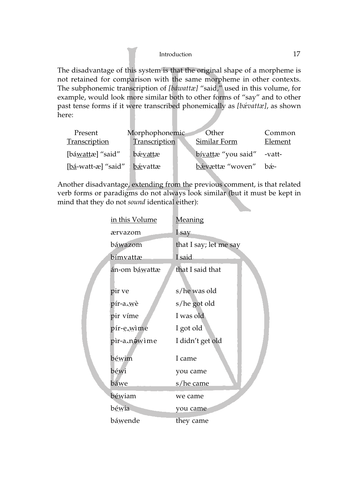The disadvantage of this system is that the original shape of a morpheme is not retained for comparison with the same morpheme in other contexts. The subphonemic transcription of *[báwattæ]* "said," used in this volume, for example, would look more similar both to other forms of "say" and to other past tense forms if it were transcribed phonemically as *[bæ*<sup>⁄</sup> *vattæ]*, as shown here:

|                  | <b>Other</b>    | Common                               |
|------------------|-----------------|--------------------------------------|
| Transcription    | Similar Form    | Element                              |
| bæ <u>vatt</u> æ |                 | -vatt-                               |
| bævattæ          | bævættæ "woven" | hæ-                                  |
|                  |                 | Morphophonemic<br>bívattæ "you said" |

Another disadvantage, extending from the previous comment, is that related verb forms or paradigms do not always look similar (but it must be kept in mind that they do not *sound* identical either):

| <u>in this Volume</u> | Meaning                |
|-----------------------|------------------------|
| ærvazom               | I say                  |
| báwazom               | that I say; let me say |
| bímvattæ              | I said                 |
| án-om báwattæ         | that I said that       |
| pir ve                | s/he was old           |
| pír-a <sub>^</sub> wè | s/he got old           |
| pir víme              | I was old              |
| pír-e <sub>Nime</sub> | I got old              |
| pìr-a,néwìme          | I didn't get old       |
| béwim                 | I came                 |
| béwi                  | you came               |
| báwe                  | s/he came              |
| béwiam                | we came                |
| béwia                 | you came               |
| báwende               | they came              |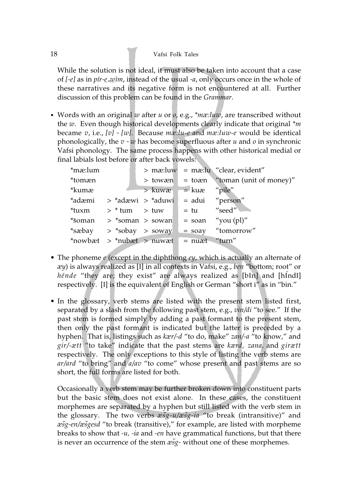While the solution is not ideal, it must also be taken into account that a case of *[-e]* as in *pír-e*<sub>*sw*</sub> *w*<sub>*im*</sub>, instead of the usual *-a*, only occurs once in the whole of the vertical state of the whole of these narratives and its negative form is not encountered at all. Further discussion of this problem can be found in the *Grammar*.

• Words with an original *w* after *u* or *o*, e.g., *\*mæ:luw*, are transcribed without the *w*. Even though historical developments clearly indicate that original *\*m* became *v*, i.e., *[v] ˜ [w]*. Because *mæ:lu-e* and *mæ:luw-e* would be identical phonologically, the *v ˜ w* has become superfluous after *u* and *o* in synchronic Vafsi phonology. The same process happens with other historical medial or final labials lost before or after back vowels:

| *mæ:lum |                   |                                                 |                 | > mæ:luw = mæ:lu "clear, evident"        |
|---------|-------------------|-------------------------------------------------|-----------------|------------------------------------------|
| *tomæn  |                   |                                                 |                 | $>$ towæn = toæn "toman (unit of money)" |
| *kumæ   |                   | > kuwæ                                          | $=$ kuæ "pile"  |                                          |
|         |                   | *adæmi > *adæwi > *aduwi                        | = adui "person" |                                          |
| *tuxm   | $>$ * tum $>$ tuw |                                                 |                 | $=$ tu $\qquad$ "seed"                   |
|         |                   | $*$ soman > $*$ soman > sowan = soan "you (pl)" |                 |                                          |
| *sæbay  |                   |                                                 |                 | $>$ *sobay $>$ soway = soay "tomorrow"   |
|         |                   | $*$ nowbæt > $*$ nubæt > nuwæt = nuæt "turn"    |                 |                                          |

- The phoneme *e* (except in the diphthong *ey*, which is actually an alternate of *æy*) is always realized as [I] in all contexts in Vafsi, e.g., *ben* "bottom; root" or hénde "they are; they exist" are always realized as [bIn] and [hIndI] respectively. [I] is the equivalent of English or German "short i" as in "bin."
- In the glossary, verb stems are listed with the present stem listed first, separated by a slash from the following past stem, e.g., *vin/di* "to see." If the past stem is formed simply by adding a past formant to the present stem, then only the past formant is indicated but the latter is preceded by a hyphen. That is, listings such as *kær/-d* "to do, make" *zan/-a* "to know," and *gir/-ætt* "to take" indicate that the past stems are *kærd, zana,* and *girætt* respectively. The only exceptions to this style of listing the verb stems are *ar/ard* "to bring" and *a/av* "to come" whose present and past stems are so short, the full forms are listed for both.

Occasionally a verb stem may be further broken down into constituent parts but the basic stem does not exist alone. In these cases, the constituent morphemes are separated by a hyphen but still listed with the verb stem in the glossary. The two verbs  $x \check{s}g$ -u/ $x \check{s}g$ -ia "to break (intransitive)" and *æšg-en/æšgesd "*to break (transitive)," for example, are listed with morpheme breaks to show that *-u, -ia* and *-en* have grammatical functions, but that there is never an occurrence of the stem *æšg*- without one of these morphemes.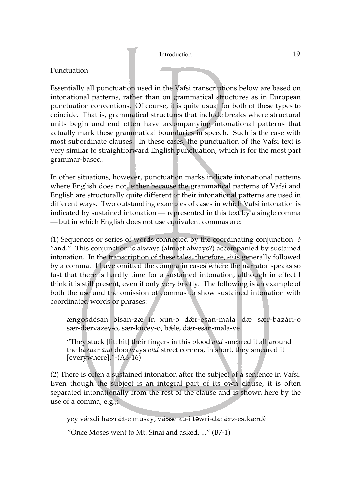## Punctuation

Essentially all punctuation used in the Vafsi transcriptions below are based on intonational patterns, rather than on grammatical structures as in European punctuation conventions. Of course, it is quite usual for both of these types to coincide. That is, grammatical structures that include breaks where structural units begin and end often have accompanying intonational patterns that actually mark these grammatical boundaries in speech. Such is the case with most subordinate clauses. In these cases, the punctuation of the Vafsi text is very similar to straightforward English punctuation, which is for the most part grammar-based.

In other situations, however, punctuation marks indicate intonational patterns where English does not, either because the grammatical patterns of Vafsi and English are structurally quite different or their intonational patterns are used in different ways. Two outstanding examples of cases in which Vafsi intonation is indicated by sustained intonation — represented in this text by a single comma — but in which English does not use equivalent commas are:

(1) Sequences or series of words connected by the coordinating conjunction *-ò* "and." This conjunction is always (almost always?) accompanied by sustained intonation. In the transcription of these tales, therefore, *-ò* is generally followed by a comma. I have omitted the comma in cases where the narrator speaks so fast that there is hardly time for a sustained intonation, although in effect I think it is still present, even if only very briefly. The following is an example of both the use and the omission of commas to show sustained intonation with coordinated words or phrases:

ængosdésan bísan-zæ in xun-o dæ⁄ r-esan-mala dæ sær-bazári-o sær-dærvazey-o, sær-kucey-o, bæ⁄ le, dæ⁄ r-esan-mala-ve.

"They stuck [lit: hit] their fingers in this blood *and* smeared it all around the bazaar *and* doorways *and* street corners, in short, they smeared it [everywhere]."-(A3-16)

(2) There is often a sustained intonation after the subject of a sentence in Vafsi. Even though the subject is an integral part of its own clause, it is often separated intonationally from the rest of the clause and is shown here by the use of a comma, e.g.,:

yey vǽxdi hæzrǽt-e musay, vǽsse ku-i təwri-dæ ǽrz-es<sub>^</sub>kærdè

"Once Moses went to Mt. Sinai and asked, ..." (B7-1)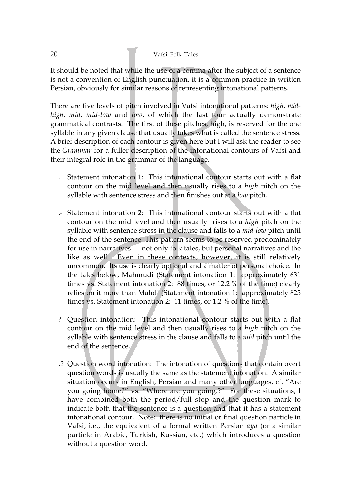It should be noted that while the use of a comma after the subject of a sentence is not a convention of English punctuation, it is a common practice in written Persian, obviously for similar reasons of representing intonational patterns.

There are five levels of pitch involved in Vafsi intonational patterns: *high, midhigh, mid, mid-low* and *low*, of which the last four actually demonstrate grammatical contrasts. The first of these pitches, high, is reserved for the one syllable in any given clause that usually takes what is called the sentence stress. A brief description of each contour is given here but I will ask the reader to see the *Grammar* for a fuller description of the intonational contours of Vafsi and their integral role in the grammar of the language.

- . Statement intonation 1: This intonational contour starts out with a flat contour on the mid level and then usually rises to a *high* pitch on the syllable with sentence stress and then finishes out at a *low* pitch.
- .- Statement intonation 2: This intonational contour starts out with a flat contour on the mid level and then usually rises to a *high* pitch on the syllable with sentence stress in the clause and falls to a *mid-low* pitch until the end of the sentence. This pattern seems to be reserved predominately for use in narratives — not only folk tales, but personal narratives and the like as well. Even in these contexts, however, it is still relatively uncommon. Its use is clearly optional and a matter of personal choice. In the tales below, Mahmudi (Statement intonation 1: approximately 631 times vs. Statement intonation 2: 88 times, or 12.2 % of the time) clearly relies on it more than Mahdi (Statement intonation 1: approximately 825 times vs. Statement intonation 2: 11 times, or 1.2 % of the time).
- ? Question intonation: This intonational contour starts out with a flat contour on the mid level and then usually rises to a *high* pitch on the syllable with sentence stress in the clause and falls to a *mid* pitch until the end of the sentence.
- .? Question word intonation: The intonation of questions that contain overt question words is usually the same as the statement intonation. A similar situation occurs in English, Persian and many other languages, cf. "Are you going home?" vs. "Where are you going.?" For these situations, I have combined both the period/full stop and the question mark to indicate both that the sentence is a question and that it has a statement intonational contour. Note: there is no initial or final question particle in Vafsi, i.e., the equivalent of a formal written Persian *aya* (or a similar particle in Arabic, Turkish, Russian, etc.) which introduces a question without a question word.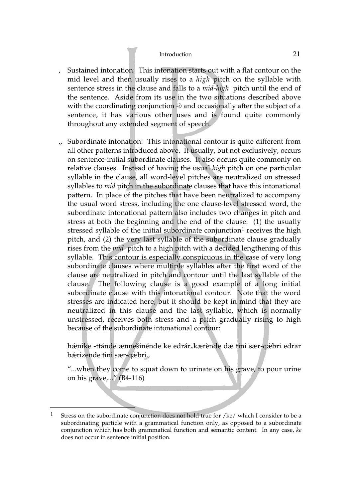- , Sustained intonation: This intonation starts out with a flat contour on the mid level and then usually rises to a *high* pitch on the syllable with sentence stress in the clause and falls to a *mid-high* pitch until the end of the sentence. Aside from its use in the two situations described above with the coordinating conjunction *-ò* and occasionally after the subject of a sentence, it has various other uses and is found quite commonly throughout any extended segment of speech.
- ,, Subordinate intonation: This intonational contour is quite different from all other patterns introduced above. It usually, but not exclusively, occurs on sentence-initial subordinate clauses. It also occurs quite commonly on relative clauses. Instead of having the usual *high* pitch on one particular syllable in the clause, all word-level pitches are neutralized on stressed syllables to *mid* pitch in the subordinate clauses that have this intonational pattern. In place of the pitches that have been neutralized to accompany the usual word stress, including the one clause-level stressed word, the subordinate intonational pattern also includes two changes in pitch and stress at both the beginning and the end of the clause: (1) the usually stressed syllable of the initial subordinate conjunction<sup>1</sup> receives the high pitch, and (2) the very last syllable of the subordinate clause gradually rises from the *mid* pitch to a high pitch with a decided lengthening of this syllable. This contour is especially conspicuous in the case of very long subordinate clauses where multiple syllables after the first word of the clause are neutralized in pitch and contour until the last syllable of the clause. The following clause is a good example of a long initial subordinate clause with this intonational contour. Note that the word stresses are indicated here, but it should be kept in mind that they are neutralized in this clause and the last syllable, which is normally unstressed, receives both stress and a pitch gradually rising to high because of the subordinate intonational contour:

hǽnike -ttánde ænnešinénde ke edrár<sub>^</sub>kærènde dæ tini sær-qǽbri edrar<br>bærizende tini sær-gæbri bærizende tini sær-qæbr<u>i</u>.,

"...when they come to squat down to urinate on his grave, to pour urine on his grave,..." (B4-116)

<sup>&</sup>lt;sup>1</sup> Stress on the subordinate conjunction does not hold true for /ke/ which I consider to be a subordinating particle with a grammatical function only, as opposed to a subordinate conjunction which has both grammatical function and semantic content. In any case, *ke* does not occur in sentence initial position.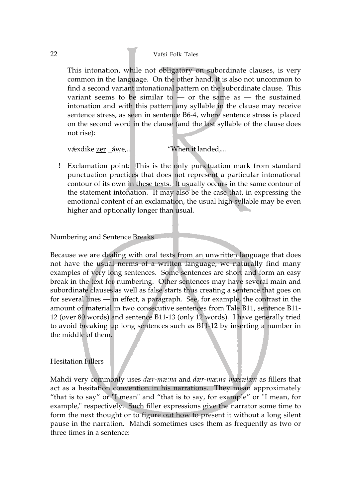This intonation, while not obligatory on subordinate clauses, is very common in the language. On the other hand, it is also not uncommon to find a second variant intonational pattern on the subordinate clause. This variant seems to be similar to  $-$  or the same as  $-$  the sustained intonation and with this pattern any syllable in the clause may receive sentence stress, as seen in sentence B6-4, where sentence stress is placed on the second word in the clause (and the last syllable of the clause does not rise):

vǽxdike <u>zer</u> \_áwe,... "When it landed,...

! Exclamation point: This is the only punctuation mark from standard punctuation practices that does not represent a particular intonational contour of its own in these texts. It usually occurs in the same contour of the statement intonation. It may also be the case that, in expressing the emotional content of an exclamation, the usual high syllable may be even higher and optionally longer than usual.

## Numbering and Sentence Breaks

Because we are dealing with oral texts from an unwritten language that does not have the usual norms of a written language, we naturally find many examples of very long sentences. Some sentences are short and form an easy break in the text for numbering. Other sentences may have several main and subordinate clauses as well as false starts thus creating a sentence that goes on for several lines — in effect, a paragraph. See, for example, the contrast in the amount of material in two consecutive sentences from Tale B11, sentence B11- 12 (over 80 words) and sentence B11-13 (only 12 words). I have generally tried to avoid breaking up long sentences such as B11-12 by inserting a number in the middle of them.

# Hesitation Fillers

Mahdi very commonly uses *dær-mæ:na* and *dær-mæ:na mæsælæn* as fillers that act as a hesitation convention in his narrations. They mean approximately "that is to say" or "I mean" and "that is to say, for example" or "I mean, for example," respectively. Such filler expressions give the narrator some time to form the next thought or to figure out how to present it without a long silent pause in the narration. Mahdi sometimes uses them as frequently as two or three times in a sentence: